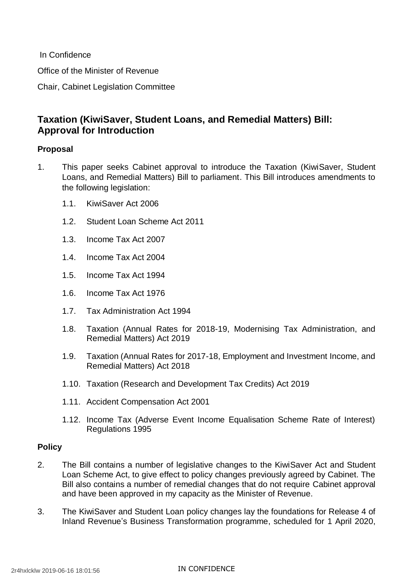In Confidence

Office of the Minister of Revenue

Chair, Cabinet Legislation Committee

# **Taxation (KiwiSaver, Student Loans, and Remedial Matters) Bill: Approval for Introduction**

# **Proposal**

- 1. This paper seeks Cabinet approval to introduce the Taxation (KiwiSaver, Student Loans, and Remedial Matters) Bill to parliament. This Bill introduces amendments to the following legislation:
	- 1.1. KiwiSaver Act 2006
	- 1.2. Student Loan Scheme Act 2011
	- 1.3. Income Tax Act 2007
	- 1.4. Income Tax Act 2004
	- 1.5. Income Tax Act 1994
	- 1.6. Income Tax Act 1976
	- 1.7. Tax Administration Act 1994
	- 1.8. Taxation (Annual Rates for 2018-19, Modernising Tax Administration, and Remedial Matters) Act 2019
	- 1.9. Taxation (Annual Rates for 2017-18, Employment and Investment Income, and Remedial Matters) Act 2018
	- 1.10. Taxation (Research and Development Tax Credits) Act 2019
	- 1.11. Accident Compensation Act 2001
	- 1.12. Income Tax (Adverse Event Income Equalisation Scheme Rate of Interest) Regulations 1995

# **Policy**

- 2. The Bill contains a number of legislative changes to the KiwiSaver Act and Student Loan Scheme Act, to give effect to policy changes previously agreed by Cabinet. The Bill also contains a number of remedial changes that do not require Cabinet approval and have been approved in my capacity as the Minister of Revenue.
- 3. The KiwiSaver and Student Loan policy changes lay the foundations for Release 4 of Inland Revenue's Business Transformation programme, scheduled for 1 April 2020,

#### IN CONFIDENCE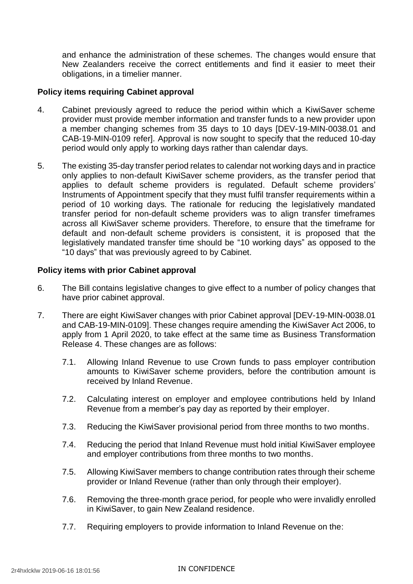and enhance the administration of these schemes. The changes would ensure that New Zealanders receive the correct entitlements and find it easier to meet their obligations, in a timelier manner.

## **Policy items requiring Cabinet approval**

- 4. Cabinet previously agreed to reduce the period within which a KiwiSaver scheme provider must provide member information and transfer funds to a new provider upon a member changing schemes from 35 days to 10 days [DEV-19-MIN-0038.01 and CAB-19-MIN-0109 refer]. Approval is now sought to specify that the reduced 10-day period would only apply to working days rather than calendar days.
- 5. The existing 35-day transfer period relates to calendar not working days and in practice only applies to non-default KiwiSaver scheme providers, as the transfer period that applies to default scheme providers is regulated. Default scheme providers' Instruments of Appointment specify that they must fulfil transfer requirements within a period of 10 working days. The rationale for reducing the legislatively mandated transfer period for non-default scheme providers was to align transfer timeframes across all KiwiSaver scheme providers. Therefore, to ensure that the timeframe for default and non-default scheme providers is consistent, it is proposed that the legislatively mandated transfer time should be "10 working days" as opposed to the "10 days" that was previously agreed to by Cabinet.

### **Policy items with prior Cabinet approval**

- 6. The Bill contains legislative changes to give effect to a number of policy changes that have prior cabinet approval.
- 7. There are eight KiwiSaver changes with prior Cabinet approval [DEV-19-MIN-0038.01 and CAB-19-MIN-0109]. These changes require amending the KiwiSaver Act 2006, to apply from 1 April 2020, to take effect at the same time as Business Transformation Release 4. These changes are as follows:
	- 7.1. Allowing Inland Revenue to use Crown funds to pass employer contribution amounts to KiwiSaver scheme providers, before the contribution amount is received by Inland Revenue.
	- 7.2. Calculating interest on employer and employee contributions held by Inland Revenue from a member's pay day as reported by their employer.
	- 7.3. Reducing the KiwiSaver provisional period from three months to two months.
	- 7.4. Reducing the period that Inland Revenue must hold initial KiwiSaver employee and employer contributions from three months to two months.
	- 7.5. Allowing KiwiSaver members to change contribution rates through their scheme provider or Inland Revenue (rather than only through their employer).
	- 7.6. Removing the three-month grace period, for people who were invalidly enrolled in KiwiSaver, to gain New Zealand residence.
	- 7.7. Requiring employers to provide information to Inland Revenue on the:

#### IN CONFIDENCE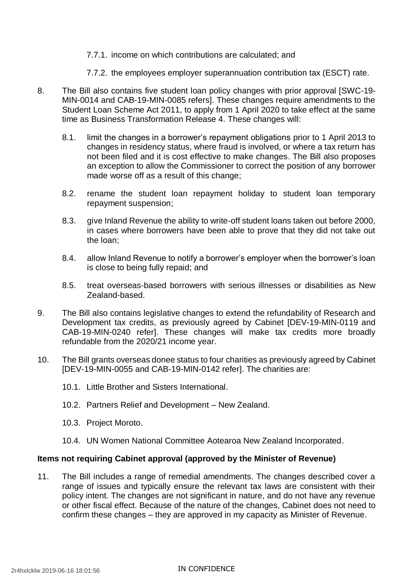- 7.7.1. income on which contributions are calculated; and
- 7.7.2. the employees employer superannuation contribution tax (ESCT) rate.
- 8. The Bill also contains five student loan policy changes with prior approval [SWC-19- MIN-0014 and CAB-19-MIN-0085 refers]. These changes require amendments to the Student Loan Scheme Act 2011, to apply from 1 April 2020 to take effect at the same time as Business Transformation Release 4. These changes will:
	- 8.1. limit the changes in a borrower's repayment obligations prior to 1 April 2013 to changes in residency status, where fraud is involved, or where a tax return has not been filed and it is cost effective to make changes. The Bill also proposes an exception to allow the Commissioner to correct the position of any borrower made worse off as a result of this change;
	- 8.2. rename the student loan repayment holiday to student loan temporary repayment suspension;
	- 8.3. give Inland Revenue the ability to write-off student loans taken out before 2000, in cases where borrowers have been able to prove that they did not take out the loan;
	- 8.4. allow Inland Revenue to notify a borrower's employer when the borrower's loan is close to being fully repaid; and
	- 8.5. treat overseas-based borrowers with serious illnesses or disabilities as New Zealand-based.
- 9. The Bill also contains legislative changes to extend the refundability of Research and Development tax credits, as previously agreed by Cabinet [DEV-19-MIN-0119 and CAB-19-MIN-0240 refer]. These changes will make tax credits more broadly refundable from the 2020/21 income year.
- 10. The Bill grants overseas donee status to four charities as previously agreed by Cabinet [DEV-19-MIN-0055 and CAB-19-MIN-0142 refer]. The charities are:
	- 10.1. Little Brother and Sisters International.
	- 10.2. Partners Relief and Development New Zealand.
	- 10.3. Project Moroto.
	- 10.4. UN Women National Committee Aotearoa New Zealand Incorporated.

#### **Items not requiring Cabinet approval (approved by the Minister of Revenue)**

11. The Bill includes a range of remedial amendments. The changes described cover a range of issues and typically ensure the relevant tax laws are consistent with their policy intent. The changes are not significant in nature, and do not have any revenue or other fiscal effect. Because of the nature of the changes, Cabinet does not need to confirm these changes – they are approved in my capacity as Minister of Revenue.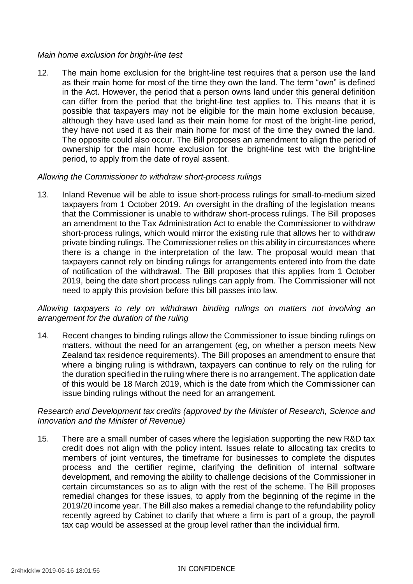## *Main home exclusion for bright-line test*

12. The main home exclusion for the bright-line test requires that a person use the land as their main home for most of the time they own the land. The term "own" is defined in the Act. However, the period that a person owns land under this general definition can differ from the period that the bright-line test applies to. This means that it is possible that taxpayers may not be eligible for the main home exclusion because, although they have used land as their main home for most of the bright-line period, they have not used it as their main home for most of the time they owned the land. The opposite could also occur. The Bill proposes an amendment to align the period of ownership for the main home exclusion for the bright-line test with the bright-line period, to apply from the date of royal assent.

### *Allowing the Commissioner to withdraw short-process rulings*

13. Inland Revenue will be able to issue short-process rulings for small-to-medium sized taxpayers from 1 October 2019. An oversight in the drafting of the legislation means that the Commissioner is unable to withdraw short-process rulings. The Bill proposes an amendment to the Tax Administration Act to enable the Commissioner to withdraw short-process rulings, which would mirror the existing rule that allows her to withdraw private binding rulings. The Commissioner relies on this ability in circumstances where there is a change in the interpretation of the law. The proposal would mean that taxpayers cannot rely on binding rulings for arrangements entered into from the date of notification of the withdrawal. The Bill proposes that this applies from 1 October 2019, being the date short process rulings can apply from. The Commissioner will not need to apply this provision before this bill passes into law.

# *Allowing taxpayers to rely on withdrawn binding rulings on matters not involving an arrangement for the duration of the ruling*

14. Recent changes to binding rulings allow the Commissioner to issue binding rulings on matters, without the need for an arrangement (eg, on whether a person meets New Zealand tax residence requirements). The Bill proposes an amendment to ensure that where a binging ruling is withdrawn, taxpayers can continue to rely on the ruling for the duration specified in the ruling where there is no arrangement. The application date of this would be 18 March 2019, which is the date from which the Commissioner can issue binding rulings without the need for an arrangement.

# *Research and Development tax credits (approved by the Minister of Research, Science and Innovation and the Minister of Revenue)*

15. There are a small number of cases where the legislation supporting the new R&D tax credit does not align with the policy intent. Issues relate to allocating tax credits to members of joint ventures, the timeframe for businesses to complete the disputes process and the certifier regime, clarifying the definition of internal software development, and removing the ability to challenge decisions of the Commissioner in certain circumstances so as to align with the rest of the scheme. The Bill proposes remedial changes for these issues, to apply from the beginning of the regime in the 2019/20 income year. The Bill also makes a remedial change to the refundability policy recently agreed by Cabinet to clarify that where a firm is part of a group, the payroll tax cap would be assessed at the group level rather than the individual firm.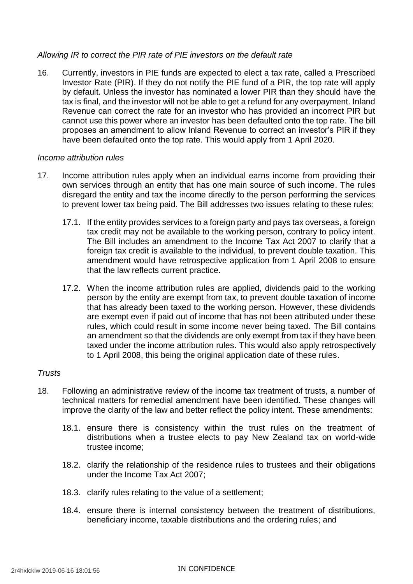# *Allowing IR to correct the PIR rate of PIE investors on the default rate*

16. Currently, investors in PIE funds are expected to elect a tax rate, called a Prescribed Investor Rate (PIR). If they do not notify the PIE fund of a PIR, the top rate will apply by default. Unless the investor has nominated a lower PIR than they should have the tax is final, and the investor will not be able to get a refund for any overpayment. Inland Revenue can correct the rate for an investor who has provided an incorrect PIR but cannot use this power where an investor has been defaulted onto the top rate. The bill proposes an amendment to allow Inland Revenue to correct an investor's PIR if they have been defaulted onto the top rate. This would apply from 1 April 2020.

### *Income attribution rules*

- 17. Income attribution rules apply when an individual earns income from providing their own services through an entity that has one main source of such income. The rules disregard the entity and tax the income directly to the person performing the services to prevent lower tax being paid. The Bill addresses two issues relating to these rules:
	- 17.1. If the entity provides services to a foreign party and pays tax overseas, a foreign tax credit may not be available to the working person, contrary to policy intent. The Bill includes an amendment to the Income Tax Act 2007 to clarify that a foreign tax credit is available to the individual, to prevent double taxation. This amendment would have retrospective application from 1 April 2008 to ensure that the law reflects current practice.
	- 17.2. When the income attribution rules are applied, dividends paid to the working person by the entity are exempt from tax, to prevent double taxation of income that has already been taxed to the working person. However, these dividends are exempt even if paid out of income that has not been attributed under these rules, which could result in some income never being taxed. The Bill contains an amendment so that the dividends are only exempt from tax if they have been taxed under the income attribution rules. This would also apply retrospectively to 1 April 2008, this being the original application date of these rules.

# *Trusts*

- 18. Following an administrative review of the income tax treatment of trusts, a number of technical matters for remedial amendment have been identified. These changes will improve the clarity of the law and better reflect the policy intent. These amendments:
	- 18.1. ensure there is consistency within the trust rules on the treatment of distributions when a trustee elects to pay New Zealand tax on world-wide trustee income;
	- 18.2. clarify the relationship of the residence rules to trustees and their obligations under the Income Tax Act 2007;
	- 18.3. clarify rules relating to the value of a settlement;
	- 18.4. ensure there is internal consistency between the treatment of distributions, beneficiary income, taxable distributions and the ordering rules; and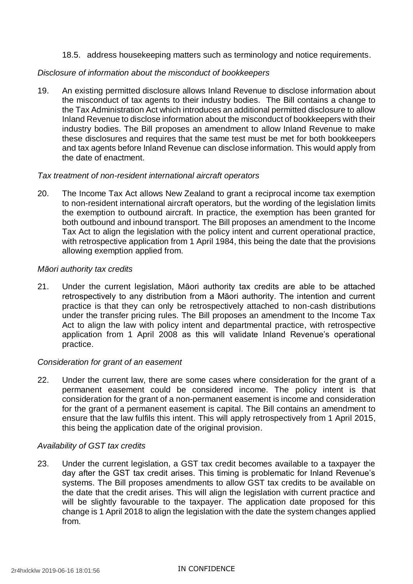18.5. address housekeeping matters such as terminology and notice requirements.

### *Disclosure of information about the misconduct of bookkeepers*

19. An existing permitted disclosure allows Inland Revenue to disclose information about the misconduct of tax agents to their industry bodies. The Bill contains a change to the Tax Administration Act which introduces an additional permitted disclosure to allow Inland Revenue to disclose information about the misconduct of bookkeepers with their industry bodies. The Bill proposes an amendment to allow Inland Revenue to make these disclosures and requires that the same test must be met for both bookkeepers and tax agents before Inland Revenue can disclose information. This would apply from the date of enactment.

#### *Tax treatment of non-resident international aircraft operators*

20. The Income Tax Act allows New Zealand to grant a reciprocal income tax exemption to non-resident international aircraft operators, but the wording of the legislation limits the exemption to outbound aircraft. In practice, the exemption has been granted for both outbound and inbound transport. The Bill proposes an amendment to the Income Tax Act to align the legislation with the policy intent and current operational practice, with retrospective application from 1 April 1984, this being the date that the provisions allowing exemption applied from.

### *Māori authority tax credits*

21. Under the current legislation, Māori authority tax credits are able to be attached retrospectively to any distribution from a Māori authority. The intention and current practice is that they can only be retrospectively attached to non-cash distributions under the transfer pricing rules. The Bill proposes an amendment to the Income Tax Act to align the law with policy intent and departmental practice, with retrospective application from 1 April 2008 as this will validate Inland Revenue's operational practice.

# *Consideration for grant of an easement*

22. Under the current law, there are some cases where consideration for the grant of a permanent easement could be considered income. The policy intent is that consideration for the grant of a non-permanent easement is income and consideration for the grant of a permanent easement is capital. The Bill contains an amendment to ensure that the law fulfils this intent. This will apply retrospectively from 1 April 2015, this being the application date of the original provision.

# *Availability of GST tax credits*

23. Under the current legislation, a GST tax credit becomes available to a taxpayer the day after the GST tax credit arises. This timing is problematic for Inland Revenue's systems. The Bill proposes amendments to allow GST tax credits to be available on the date that the credit arises. This will align the legislation with current practice and will be slightly favourable to the taxpayer. The application date proposed for this change is 1 April 2018 to align the legislation with the date the system changes applied from.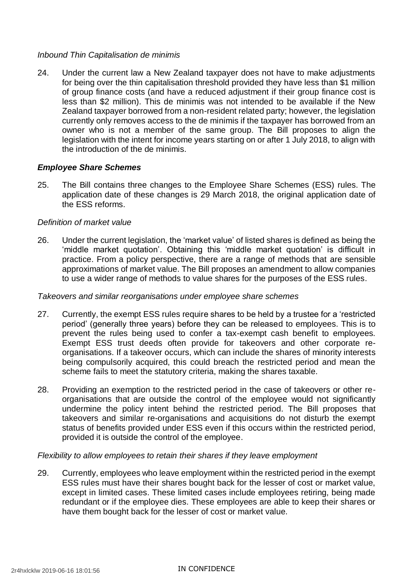## *Inbound Thin Capitalisation de minimis*

24. Under the current law a New Zealand taxpayer does not have to make adjustments for being over the thin capitalisation threshold provided they have less than \$1 million of group finance costs (and have a reduced adjustment if their group finance cost is less than \$2 million). This de minimis was not intended to be available if the New Zealand taxpayer borrowed from a non-resident related party; however, the legislation currently only removes access to the de minimis if the taxpayer has borrowed from an owner who is not a member of the same group. The Bill proposes to align the legislation with the intent for income years starting on or after 1 July 2018, to align with the introduction of the de minimis.

# *Employee Share Schemes*

25. The Bill contains three changes to the Employee Share Schemes (ESS) rules. The application date of these changes is 29 March 2018, the original application date of the ESS reforms.

#### *Definition of market value*

26. Under the current legislation, the 'market value' of listed shares is defined as being the 'middle market quotation'. Obtaining this 'middle market quotation' is difficult in practice. From a policy perspective, there are a range of methods that are sensible approximations of market value. The Bill proposes an amendment to allow companies to use a wider range of methods to value shares for the purposes of the ESS rules.

#### *Takeovers and similar reorganisations under employee share schemes*

- 27. Currently, the exempt ESS rules require shares to be held by a trustee for a 'restricted period' (generally three years) before they can be released to employees. This is to prevent the rules being used to confer a tax-exempt cash benefit to employees. Exempt ESS trust deeds often provide for takeovers and other corporate reorganisations. If a takeover occurs, which can include the shares of minority interests being compulsorily acquired, this could breach the restricted period and mean the scheme fails to meet the statutory criteria, making the shares taxable.
- 28. Providing an exemption to the restricted period in the case of takeovers or other reorganisations that are outside the control of the employee would not significantly undermine the policy intent behind the restricted period. The Bill proposes that takeovers and similar re-organisations and acquisitions do not disturb the exempt status of benefits provided under ESS even if this occurs within the restricted period, provided it is outside the control of the employee.

#### *Flexibility to allow employees to retain their shares if they leave employment*

29. Currently, employees who leave employment within the restricted period in the exempt ESS rules must have their shares bought back for the lesser of cost or market value, except in limited cases. These limited cases include employees retiring, being made redundant or if the employee dies. These employees are able to keep their shares or have them bought back for the lesser of cost or market value.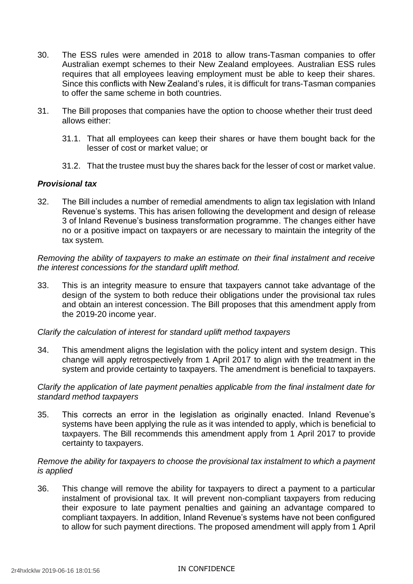- 30. The ESS rules were amended in 2018 to allow trans-Tasman companies to offer Australian exempt schemes to their New Zealand employees. Australian ESS rules requires that all employees leaving employment must be able to keep their shares. Since this conflicts with New Zealand's rules, it is difficult for trans-Tasman companies to offer the same scheme in both countries.
- 31. The Bill proposes that companies have the option to choose whether their trust deed allows either:
	- 31.1. That all employees can keep their shares or have them bought back for the lesser of cost or market value; or
	- 31.2. That the trustee must buy the shares back for the lesser of cost or market value.

# *Provisional tax*

32. The Bill includes a number of remedial amendments to align tax legislation with Inland Revenue's systems. This has arisen following the development and design of release 3 of Inland Revenue's business transformation programme. The changes either have no or a positive impact on taxpayers or are necessary to maintain the integrity of the tax system.

*Removing the ability of taxpayers to make an estimate on their final instalment and receive the interest concessions for the standard uplift method.*

33. This is an integrity measure to ensure that taxpayers cannot take advantage of the design of the system to both reduce their obligations under the provisional tax rules and obtain an interest concession. The Bill proposes that this amendment apply from the 2019-20 income year.

*Clarify the calculation of interest for standard uplift method taxpayers*

34. This amendment aligns the legislation with the policy intent and system design. This change will apply retrospectively from 1 April 2017 to align with the treatment in the system and provide certainty to taxpayers. The amendment is beneficial to taxpayers.

*Clarify the application of late payment penalties applicable from the final instalment date for standard method taxpayers*

35. This corrects an error in the legislation as originally enacted. Inland Revenue's systems have been applying the rule as it was intended to apply, which is beneficial to taxpayers. The Bill recommends this amendment apply from 1 April 2017 to provide certainty to taxpayers.

### *Remove the ability for taxpayers to choose the provisional tax instalment to which a payment is applied*

36. This change will remove the ability for taxpayers to direct a payment to a particular instalment of provisional tax. It will prevent non-compliant taxpayers from reducing their exposure to late payment penalties and gaining an advantage compared to compliant taxpayers. In addition, Inland Revenue's systems have not been configured to allow for such payment directions. The proposed amendment will apply from 1 April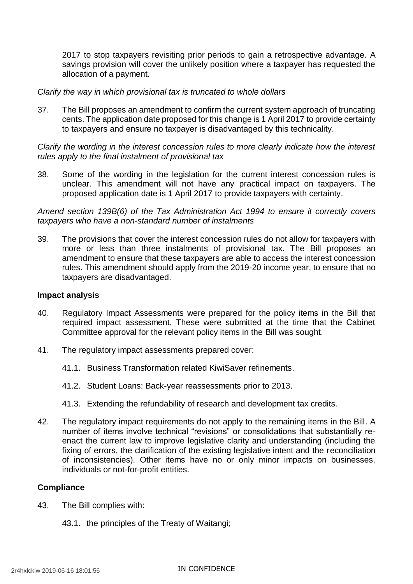2017 to stop taxpayers revisiting prior periods to gain a retrospective advantage. A savings provision will cover the unlikely position where a taxpayer has requested the allocation of a payment.

#### *Clarify the way in which provisional tax is truncated to whole dollars*

37. The Bill proposes an amendment to confirm the current system approach of truncating cents. The application date proposed for this change is 1 April 2017 to provide certainty to taxpayers and ensure no taxpayer is disadvantaged by this technicality.

*Clarify the wording in the interest concession rules to more clearly indicate how the interest rules apply to the final instalment of provisional tax*

38. Some of the wording in the legislation for the current interest concession rules is unclear. This amendment will not have any practical impact on taxpayers. The proposed application date is 1 April 2017 to provide taxpayers with certainty.

*Amend section 139B(6) of the Tax Administration Act 1994 to ensure it correctly covers taxpayers who have a non-standard number of instalments*

39. The provisions that cover the interest concession rules do not allow for taxpayers with more or less than three instalments of provisional tax. The Bill proposes an amendment to ensure that these taxpayers are able to access the interest concession rules. This amendment should apply from the 2019-20 income year, to ensure that no taxpayers are disadvantaged.

#### **Impact analysis**

- 40. Regulatory Impact Assessments were prepared for the policy items in the Bill that required impact assessment. These were submitted at the time that the Cabinet Committee approval for the relevant policy items in the Bill was sought.
- 41. The regulatory impact assessments prepared cover:
	- 41.1. Business Transformation related KiwiSaver refinements.
	- 41.2. Student Loans: Back-year reassessments prior to 2013.
	- 41.3. Extending the refundability of research and development tax credits.
- 42. The regulatory impact requirements do not apply to the remaining items in the Bill. A number of items involve technical "revisions" or consolidations that substantially reenact the current law to improve legislative clarity and understanding (including the fixing of errors, the clarification of the existing legislative intent and the reconciliation of inconsistencies). Other items have no or only minor impacts on businesses, individuals or not-for-profit entities.

# **Compliance**

- 43. The Bill complies with:
	- 43.1. the principles of the Treaty of Waitangi;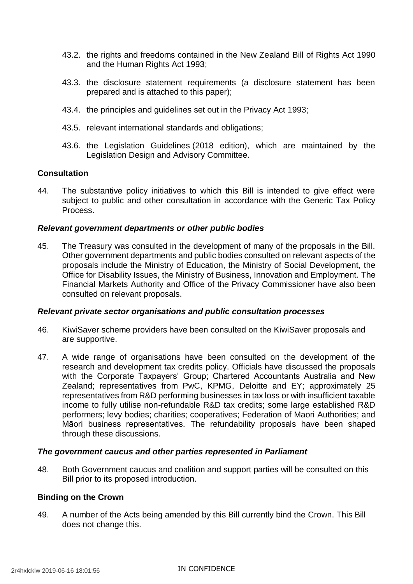- 43.2. the rights and freedoms contained in the New Zealand Bill of Rights Act 1990 and the Human Rights Act 1993;
- 43.3. the disclosure statement requirements (a disclosure statement has been prepared and is attached to this paper);
- 43.4. the principles and guidelines set out in the Privacy Act 1993;
- 43.5. relevant international standards and obligations;
- 43.6. the [Legislation Guidelines](http://www.ldac.org.nz/guidelines/legislation-guidelines-2018-edition/http:/www.ldac.org.nz/guidelines/legislation-guidelines-2018-edition/http:/www.ldac.org.nz/guidelines/legislation-guidelines-2018-edition/) (2018 edition), which are maintained by the Legislation Design and Advisory Committee.

#### **Consultation**

44. The substantive policy initiatives to which this Bill is intended to give effect were subject to public and other consultation in accordance with the Generic Tax Policy Process.

#### *Relevant government departments or other public bodies*

45. The Treasury was consulted in the development of many of the proposals in the Bill. Other government departments and public bodies consulted on relevant aspects of the proposals include the Ministry of Education, the Ministry of Social Development, the Office for Disability Issues, the Ministry of Business, Innovation and Employment. The Financial Markets Authority and Office of the Privacy Commissioner have also been consulted on relevant proposals.

#### *Relevant private sector organisations and public consultation processes*

- 46. KiwiSaver scheme providers have been consulted on the KiwiSaver proposals and are supportive.
- 47. A wide range of organisations have been consulted on the development of the research and development tax credits policy. Officials have discussed the proposals with the Corporate Taxpayers' Group; Chartered Accountants Australia and New Zealand; representatives from PwC, KPMG, Deloitte and EY; approximately 25 representatives from R&D performing businesses in tax loss or with insufficient taxable income to fully utilise non-refundable R&D tax credits; some large established R&D performers; levy bodies; charities; cooperatives; Federation of Maori Authorities; and Māori business representatives. The refundability proposals have been shaped through these discussions.

#### *The government caucus and other parties represented in Parliament*

48. Both Government caucus and coalition and support parties will be consulted on this Bill prior to its proposed introduction.

#### **Binding on the Crown**

49. A number of the Acts being amended by this Bill currently bind the Crown. This Bill does not change this.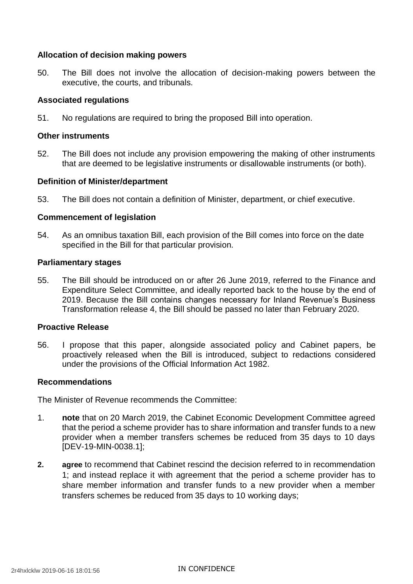## **Allocation of decision making powers**

50. The Bill does not involve the allocation of decision-making powers between the executive, the courts, and tribunals.

#### **Associated regulations**

51. No regulations are required to bring the proposed Bill into operation.

#### **Other instruments**

52. The Bill does not include any provision empowering the making of other instruments that are deemed to be legislative instruments or disallowable instruments (or both).

### **Definition of Minister/department**

53. The Bill does not contain a definition of Minister, department, or chief executive.

### **Commencement of legislation**

54. As an omnibus taxation Bill, each provision of the Bill comes into force on the date specified in the Bill for that particular provision.

#### **Parliamentary stages**

55. The Bill should be introduced on or after 26 June 2019, referred to the Finance and Expenditure Select Committee, and ideally reported back to the house by the end of 2019. Because the Bill contains changes necessary for Inland Revenue's Business Transformation release 4, the Bill should be passed no later than February 2020.

#### **Proactive Release**

56. I propose that this paper, alongside associated policy and Cabinet papers, be proactively released when the Bill is introduced, subject to redactions considered under the provisions of the Official Information Act 1982.

#### **Recommendations**

The Minister of Revenue recommends the Committee:

- 1. **note** that on 20 March 2019, the Cabinet Economic Development Committee agreed that the period a scheme provider has to share information and transfer funds to a new provider when a member transfers schemes be reduced from 35 days to 10 days [DEV-19-MIN-0038.1];
- **2. agree** to recommend that Cabinet rescind the decision referred to in recommendation 1; and instead replace it with agreement that the period a scheme provider has to share member information and transfer funds to a new provider when a member transfers schemes be reduced from 35 days to 10 working days;